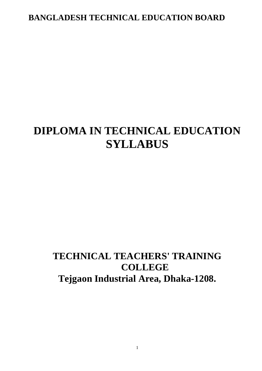## **BANGLADESH TECHNICAL EDUCATION BOARD**

# **DIPLOMA IN TECHNICAL EDUCATION SYLLABUS**

## **TECHNICAL TEACHERS' TRAINING COLLEGE Tejgaon Industrial Area, Dhaka-1208.**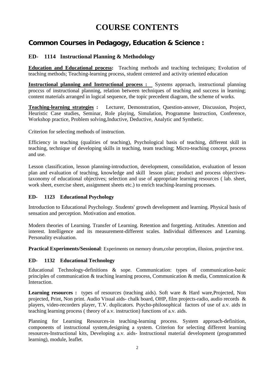## **COURSE CONTENTS**

## **Common Courses in Pedagogy, Education & Science :**

#### **ED- 1114 Instructional Planning & Methodology**

**Education and Educational process:** Teaching methods and teaching techniques; Evolution of teaching methods; Teaching-learning process, student centered and activity oriented education

**Instructional planning and Instructional process :** Systems approach, instructional planning proccss of instructional planning, relation between techniques of teaching and success in learning; content materials arranged in logical sequence, the topic precedent diagram, the scheme of works.

**Teaching-learning strategies :** Lecturer, Demonstration, Question-answer, Discussion, Project, Heuristic Case studies, Seminar, Role playing, Simulation, Programme Instruction, Conference, Workshop practice, Problem solving,Inductive, Deductive, Analytic and Synthetic.

Criterion for selecting methods of instruction.

Efficiency in teaching (qualities of teaching), Psychological basis of teaching, different skill in teaching, technique of developing skills in teaching, team teaching; Micro-teaching concept, process and use.

Lesson classification, lesson planning-introduction, development, consolidation, evaluation of lesson plan and evaluation of teaching, knowledge and skill lesson plan; product and process objectivestaxonomy of educational objectives; selection and use of appropriate learning resources ( lab. sheet, work sheet, exercise sheet, assignment sheets etc.) to enrich teaching-learning processes.

#### **ED- 1123 Educational Psychology**

Introduction to Educational Psychology. Students' growth development and learning. Physical basis of sensation and perception. Motivation and emotion.

Modern theories of Learning. Transfer of Learning. Retention and forgetting. Attitudes. Attention and interest. Intelligence and its measurement-different scales. Individual differences and Learning. Personality evaluation.

**Practical Experiments/Sessional**: Experiments on memory drum,colur perception, illusion, projective test.

#### **ED- 1132 Educational Technology**

Educational Technology-definitions & sope. Communication: types of communication-basic principles of communication & teaching learning process, Communication & media, Commnication & Interaction.

**Learning resources :** types of resources (teaching aids). Soft ware & Hard ware, Projected, Non projected, Print, Non print. Audio Visual aids- chalk board, OHP, film projects-radio, audio records & players, video-recorders player, T.V. duplicators. Psycho-philosophical factors of use of a.v. aids in teaching learning process ( theory of a.v. instruction) functions of a.v. aids.

Planning for Learning Resources-in teaching-learning process. System approach-definition, components of instructional system,designing a system. Criterion for selecting different learning resources-Instructional kits, Developing a.v. aids- Instructional material development (programmed learning), module, leaflet.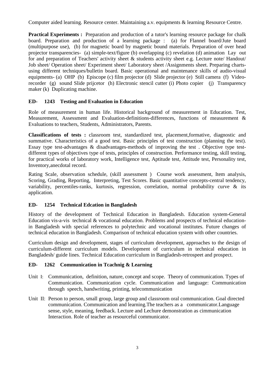Computer aided learning. Resource center. Maintaining a.v. equipments & learning Resource Centre.

**Practical Experiments :** Preparation and production of a tutor's learning resource package for chalk board. Preparation and production of a learning package : (a) for Flannel board/Jute board (multipurpose use), (b) for magnetic board by magnetic bound materials. Preparation of over head projector transparencies- (a) simple-text/figure (b) overlapping (c) revelation (d) animation Lay out for and preparation of Teachers' activity sheet & students activity sheet e.g. Lecture note/ Handout/ Job sheet/ Operation sheet/ Experiment sheet/ Laboratory sheet /Assignments sheet. Preparing chartsusing different techniques/bulletin board. Basic operational and maintenance skills of audio-visual equipments- (a) OHP (b) Episcope (c) film projector (d) Slide projector (e) Still camera (f) Videorecorder (g) sound Slide prijcetor (h) Electronic stencil cutter (i) Photo copier (j) Transparency maker (k) Duplicating machine.

#### **ED- 1243 Testing and Evaluation in Education**

Role of measurement in human life. Historical background of measurement in Education. Test, Measurement, Assessment and Evaluation-definitions-differences, functions of measurement & Evaluations to teachers, Students, Administrators, Parents.

**Classifications of tests :** classroom test, standardized test, placement,formative, diagnostic and summative. Characteristics of a good test. Basic principles of test construction (planning the test). Essay type test-advantages & disadvantages-methods of improving the test . Objective type testdifferent types of objectives type of tests, principles of construction. Performance testing, skill testing, for practical works of laboratory work, Intelligence test, Aptitude test, Attitude test, Personality test, Inventory,anecdotal record.

Rating Scale, observation schedule, (skill assessment ) Course work assessment, Item analysis, Scoring, Grading, Reporting, Interpreting, Test Scores. Basic quantitative concepts-central tendency, variability, percentiles-ranks, kurtosis, regression, correlation, normal probability curve & its application.

#### **ED- 1254 Technical Edcation in Bangladesh**

History of the development of Technical Education in Bangladesh. Education system-General Education vis-a-vis technical & vocational education. Problems and prospects of technical educationin Bangladesh with special references to polytechnic and vocational institutes. Future changes of technical education in Bangladesh. Comparison of technical education system with other countries.

Curriculum design and development, stages of curriculum development, approaches to the design of curriculum-different curriculum models. Development of curriculum in technical education in Bangladesh/ guide lines. Technical Education curriculum in Bangladesh-retrospeet and prospect.

#### **ED- 1262 Communication in Tcachnig & Learning**

- Unit I: Communication, definition, nature, concept and scope. Theory of communication. Types of Communication. Communication cycle. Communication and language: Communication through speech, handwriting, printing, telecommunication
- Unit II: Person to person, small group, large group and classroom oral communication. Goal directed communication. Communication and learning.The teachers as a communicator.Language sense, style, meaning, feedback. Lecture and Lechure demonstration as cimmunication Interaction. Role of teacher as resourceful communicator.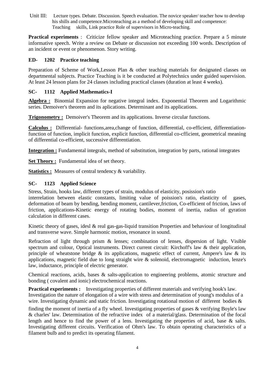Unit III: Lecture types. Debate. Discussion. Speech evaluation. The novice speaker/ teacher how to develop his shills and competence.Microteaching as a method of developing skill and competence: Teaching skills, Link practice Role of supervisors in Micro-teaching.

**Practical experiments** : Criticize fellow speaker and Microteaching practice. Prepare a 5 minute informative speech. Write a review on Debate or discussion not exceeding 100 words. Description of an incident or event or phenomenon. Story writing.

#### **ED- 1202 Practice teaching**

Preparation of Scheme of Work, Lesson Plan & other teaching materials for designated classes on departmental subjects. Practice Teaching is it be conducted at Polytechnics under guided supervision. At least 24 lesson plans for 24 classes including practical classes (duration at least 4 weeks).

#### **SC- 1112 Applied Mathematics-I**

**Algebra :** Binomial Expansion for negative integral index. Exponential Theorem and Logarithmic series. Demoiver's theorem and its aplications. Determinant and its applications.

**Trigonometry :** Demoiver's Theorem and its applications. Inverse circular functions.

**Calculus :** Differential- functions,area,change of function, differential, co-efficient, differentiationfunction of function, implicit function, explicit function, differential co-cfficient, geometrical meaning of differential co-efficient, successive differentiation.

**Integration :** Fundamental integrals, method of substitution, integration by parts, rational integrates

**Set Theory :** Fundamental idea of set theory.

**Statistics :** Measures of central tendency & variability.

#### **SC- 1123 Applied Science**

Stress, Strain, hooks law, different types of strain, modulus of elasticity, posission's ratio

interrelation between elastic constants, limiting value of poission's ratio, elasticity of gases, deformation of beam by bending, bending moment, cantilever,friction, Co-efficient of friction, laws of friction, applications-Kinetic energy of rotating bodies, moment of inertia, radius of gyration calculation in different cases.

Kinetic theory of gases, idesl  $\&$  real gas-gas-liquid transition Properties and behaviour of longitudinal and transverse wave. Simple harmonic motion, resonance in sound.

Refraction of light through prism & lenses; combination of lenses, dispersion of light. Visible spectrum and colour, Optical instruments. Direct current circuit: Kirchoff's law & their application, principle of wheatstone bridge  $\&$  its applications, magnetic effect of current, Ampere's law  $\&$  its applications, magnetic field due to long straight wire & solenoid, electromagnetic induction, lenze's law, inductance, principle of electric generator.

Chemical reactions, acids, bases & salts-application to engineering problems, atomic structure and bonding ( covalent and ionic) electrochemical reactions.

**Practical experiments :** Investigating properties of different materials and verifying hook's law. Investigation the nature of elongation of a wire with stress and determination of young's modulus of a wire. Investigating dynamic and static friction. Investigating rotational motion of different bodies  $\&$ 

finding the moment of inertia of a fly wheel. Investigating properties of gases & verifying Boyle's law & charles' law. Determination of the refractive index of a material/glass. Determination of the focal length and hence to find the power of a lens. Investigating the properties of acid, base & salts. Investigating different circuits. Verification of Ohm's law. To obtain operating characteristics of a filament bulb and to predict its operating filament.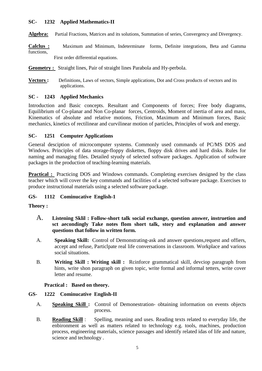#### **SC- 1232 Applied Mathematics-II**

**Algebra:** Partial Fractions, Matrices and its solutions, Summation of series, Convergency and Divergency.

**Calclus :** Maximum and Minimum, Indeterminate forms, Definite integrations, Beta and Gamma functions,

First order differential equations.

#### **Geometry :** Straight lines, Pair of straight lines Parabola and Hy-perbola.

**Vectors :** Definitions, Laws of vectors, Simple applications, Dot and Cross products of vectors and its applications.

#### **SC - 1243 Applied Mechanics**

Introduction and Basic concepts. Resultant and Components of forces; Free body diagrams, Equilibrium of Co-planar and Non Co-planar forces, Centroids, Moment of inertia of area and mass, Kinematics of absolute and relative motions, Friction, Maximum and Minimum forces, Basic mechanics, kinetics of rectilinear and curvilinear motion of particles, Principles of work and energy.

#### **SC- 1251 Computer Applications**

General desciption of microcomputer systems. Commonly used commands of PC/MS DOS and Windows. Principles of data storage-floppy diskettes, floppy disk drives and hard disks. Rules for naming and managing files. Detailed styudy of selected software packages. Application of software packages in the production of teaching-learning materials.

**Practical :** Practicing DOS and Windows commands. Completing exercises designed by the class teacher which will cover the key commands and facilities of a selected software package. Exercises to produce instructional materials using a selected software package.

#### **GS- 1112 Cominucative English-1**

#### **Theory :**

- A. **Listening Sklil : Follow-short talk social exchange, question answer, instruetion and sct aecondingly Take notes flom short talk, story and explanation and answer questions that follow in written form.**
- A. **Speaking Skill:** Control of Demonstrating-ask and answer questions,request and offiers, accept and refuse, Particlpate real life conversations in classroom. Workplace and various social situations.
- B. **Writing Skill : Writing skill :** Rcinforce grammatical skill, devciop paragraph from hints, write shon paragraph on given topic, write formal and informal tetters, write cover letter and resume.

#### **Practical : Based on theory.**

#### **GS- 1222 Cominucative English-II**

- A. **Speaking Skill :** Control of Demonestration- obtaining information on events objects process.
- B. **Reading Skill** : Spelling, meaning and uses. Reading texts related to everyday life, the enbironment as well as matters related to technology e.g. tools, machines, production process, engineering materials, science passages and identify related idas of life and nature, science and technology .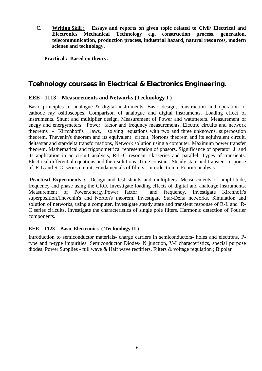**C. Writing Skill : Essays and reports on given topic related to Civil/ Electrical and Electronics Mechanical Technology e.g. construction process, generation, telecommunication, production process, industrial hazard, natural resources, modern scienee and technology.**

**Practical : Based on theory.**

### **Tcehnology coursess in Electrical & Electronics Engineering.**

#### **EEE - 1113 Measurements and Networks (Technology I )**

Basic principles of analogue & digital instruments. Basic design, construction and operation of cathode ray osilloscopes. Comparison of analogue and digital instruments. Loading effect of instruments. Shunt and multiplier design. Measurement of Power and wattmeters. Measurement of enegy and energymeters. Power factor and frequncy measurements. Electric circuits and network theorems - Kirrchhoff's laws, solving equations with two and three unknowns, superpostion theorem, Thevenin's theorem and its equivalent circuit, Nortons theorem and its eqluivalent circuit, delta/star and star/delta transformations, Network solution using a computer. Maximum power transfer theorem. Mathematical and trigonometrical representation of phasors. Significance of operator J and its application in ac circuit analysis, R-L-C resonant ckt-series and parallel. Types of transients. Electrical differential equations and their solutions. Time constant. Steady state and transient response of R-L and R-C series circuit. Fundamentals of filters. Introduction to Fourier analysis.

**Practical Experiments :** Design and test shunts and multipliers. Measurements of amplititude, frequency and phase using the CRO. Investigate loading effects of digital and analouge instruments. Measurement of Power,energy,Power factor and frequency. Investigate Kirchhoff's superposition,Thevenin's and Norton's theorem. Investigate Star-Delta networks. Simulation and solution of networks, using a computer. Investigate steady state and transient response of R-L and R-C series cirlcuits. Investigate the characteristics of single pole filters. Harmonic detection of Fourier components.

#### **EEE 1123 Basic Electronics ( Technology II )**

Introduction to semiconductor materials- charge carriers in semiconductors- holes and electrons, Ptype and n-type impurities. Semiconductor Diodes- N junction, V-I characteristics, special purpose diodes. Power Supplies - full wave & Half wave rectifiers, Filters & voltage regulation ; Bipolar